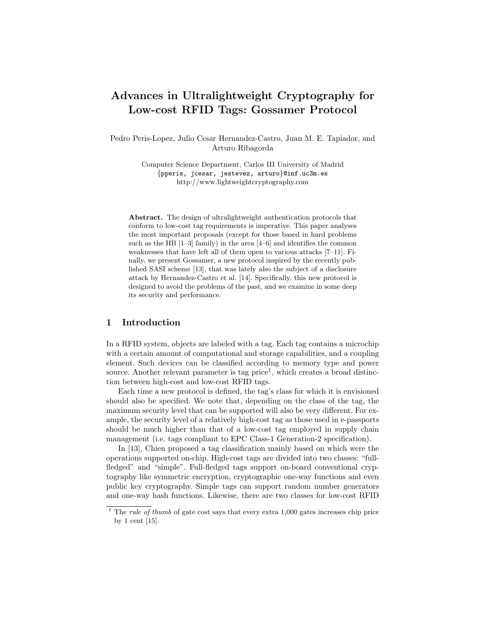# Advances in Ultralightweight Cryptography for Low-cost RFID Tags: Gossamer Protocol

Pedro Peris-Lopez, Julio Cesar Hernandez-Castro, Juan M. E. Tapiador, and Arturo Ribagorda

> Computer Science Department, Carlos III University of Madrid {pperis, jcesar, jestevez, arturo}@inf.uc3m.es http://www.lightweightcryptography.com

Abstract. The design of ultralightweight authentication protocols that conform to low-cost tag requirements is imperative. This paper analyses the most important proposals (except for those based in hard problems such as the HB [1–3] family) in the area [4–6] and identifies the common weaknesses that have left all of them open to various attacks [7–11]. Finally, we present Gossamer, a new protocol inspired by the recently published SASI scheme [13], that was lately also the subject of a disclosure attack by Hernandez-Castro et al. [14]. Specifically, this new protocol is designed to avoid the problems of the past, and we examine in some deep its security and performance.

## 1 Introduction

In a RFID system, objects are labeled with a tag. Each tag contains a microchip with a certain amount of computational and storage capabilities, and a coupling element. Such devices can be classified according to memory type and power source. Another relevant parameter is tag  $\text{price}^1$ , which creates a broad distinction between high-cost and low-cost RFID tags.

Each time a new protocol is defined, the tag's class for which it is envisioned should also be specified. We note that, depending on the class of the tag, the maximum security level that can be supported will also be very different. For example, the security level of a relatively high-cost tag as those used in e-passports should be much higher than that of a low-cost tag employed in supply chain management (i.e. tags compliant to EPC Class-1 Generation-2 specification).

In [13], Chien proposed a tag classification mainly based on which were the operations supported on-chip. High-cost tags are divided into two classes: "fullfledged" and "simple". Full-fledged tags support on-board conventional cryptography like symmetric encryption, cryptographic one-way functions and even public key cryptography. Simple tags can support random number generators and one-way hash functions. Likewise, there are two classes for low-cost RFID

<sup>&</sup>lt;sup>1</sup> The *rule of thumb* of gate cost says that every extra 1,000 gates increases chip price by 1 cent [15].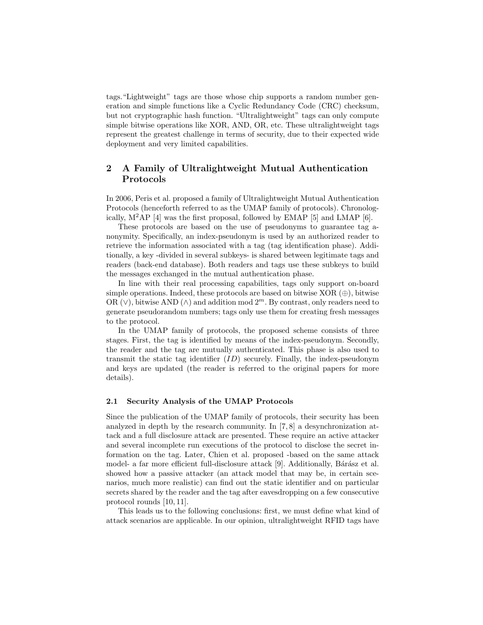tags."Lightweight" tags are those whose chip supports a random number generation and simple functions like a Cyclic Redundancy Code (CRC) checksum, but not cryptographic hash function. "Ultralightweight" tags can only compute simple bitwise operations like XOR, AND, OR, etc. These ultralightweight tags represent the greatest challenge in terms of security, due to their expected wide deployment and very limited capabilities.

# 2 A Family of Ultralightweight Mutual Authentication Protocols

In 2006, Peris et al. proposed a family of Ultralightweight Mutual Authentication Protocols (henceforth referred to as the UMAP family of protocols). Chronologically,  $M^2AP$  [4] was the first proposal, followed by EMAP [5] and LMAP [6].

These protocols are based on the use of pseudonyms to guarantee tag anonymity. Specifically, an index-pseudonym is used by an authorized reader to retrieve the information associated with a tag (tag identification phase). Additionally, a key -divided in several subkeys- is shared between legitimate tags and readers (back-end database). Both readers and tags use these subkeys to build the messages exchanged in the mutual authentication phase.

In line with their real processing capabilities, tags only support on-board simple operations. Indeed, these protocols are based on bitwise XOR  $(\oplus)$ , bitwise OR  $(V)$ , bitwise AND  $(\wedge)$  and addition mod  $2^m$ . By contrast, only readers need to generate pseudorandom numbers; tags only use them for creating fresh messages to the protocol.

In the UMAP family of protocols, the proposed scheme consists of three stages. First, the tag is identified by means of the index-pseudonym. Secondly, the reader and the tag are mutually authenticated. This phase is also used to transmit the static tag identifier  $(ID)$  securely. Finally, the index-pseudonym and keys are updated (the reader is referred to the original papers for more details).

#### 2.1 Security Analysis of the UMAP Protocols

Since the publication of the UMAP family of protocols, their security has been analyzed in depth by the research community. In [7, 8] a desynchronization attack and a full disclosure attack are presented. These require an active attacker and several incomplete run executions of the protocol to disclose the secret information on the tag. Later, Chien et al. proposed -based on the same attack model- a far more efficient full-disclosure attack [9]. Additionally, Bárász et al. showed how a passive attacker (an attack model that may be, in certain scenarios, much more realistic) can find out the static identifier and on particular secrets shared by the reader and the tag after eavesdropping on a few consecutive protocol rounds [10, 11].

This leads us to the following conclusions: first, we must define what kind of attack scenarios are applicable. In our opinion, ultralightweight RFID tags have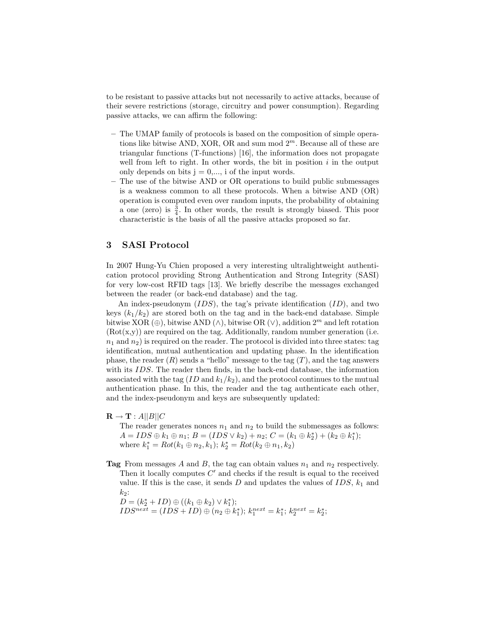to be resistant to passive attacks but not necessarily to active attacks, because of their severe restrictions (storage, circuitry and power consumption). Regarding passive attacks, we can affirm the following:

- The UMAP family of protocols is based on the composition of simple operations like bitwise AND, XOR, OR and sum mod  $2<sup>m</sup>$ . Because all of these are triangular functions (T-functions) [16], the information does not propagate well from left to right. In other words, the bit in position  $i$  in the output only depends on bits  $j = 0,..., i$  of the input words.
- The use of the bitwise AND or OR operations to build public submessages is a weakness common to all these protocols. When a bitwise AND (OR) operation is computed even over random inputs, the probability of obtaining a one (zero) is  $\frac{3}{4}$ . In other words, the result is strongly biased. This poor characteristic is the basis of all the passive attacks proposed so far.

# 3 SASI Protocol

In 2007 Hung-Yu Chien proposed a very interesting ultralightweight authentication protocol providing Strong Authentication and Strong Integrity (SASI) for very low-cost RFID tags [13]. We briefly describe the messages exchanged between the reader (or back-end database) and the tag.

An index-pseudonym  $(IDS)$ , the tag's private identification  $(ID)$ , and two keys  $(k_1/k_2)$  are stored both on the tag and in the back-end database. Simple bitwise XOR (⊕), bitwise AND (∧), bitwise OR (∨), addition  $2<sup>m</sup>$  and left rotation  $(Rot(x,y))$  are required on the tag. Additionally, random number generation (i.e.  $n_1$  and  $n_2$ ) is required on the reader. The protocol is divided into three states: tag identification, mutual authentication and updating phase. In the identification phase, the reader  $(R)$  sends a "hello" message to the tag  $(T)$ , and the tag answers with its *IDS*. The reader then finds, in the back-end database, the information associated with the tag  $(ID \text{ and } k_1/k_2)$ , and the protocol continues to the mutual authentication phase. In this, the reader and the tag authenticate each other, and the index-pseudonym and keys are subsequently updated:

 $\mathbf{R} \to \mathbf{T} : A||B||C$ 

The reader generates nonces  $n_1$  and  $n_2$  to build the submessages as follows:  $A = IDs \oplus k_1 \oplus n_1; B = (IDS \vee k_2) + n_2; C = (k_1 \oplus k_2^*) + (k_2 \oplus k_1^*);$ where  $k_1^* = Rot(k_1 \oplus n_2, k_1); k_2^* = Rot(k_2 \oplus n_1, k_2)$ 

**Tag** From messages A and B, the tag can obtain values  $n_1$  and  $n_2$  respectively. Then it locally computes  $C'$  and checks if the result is equal to the received value. If this is the case, it sends D and updates the values of  $IDS$ ,  $k_1$  and  $k_2$ :

 $D = (k_2^* + ID) \oplus ((k_1 \oplus k_2) \vee k_1^*);$  $IDS^{next} = (IDS + ID) \oplus (n_2 \oplus k_1^*); k_1^{next} = k_1^*; k_2^{next} = k_2^*;$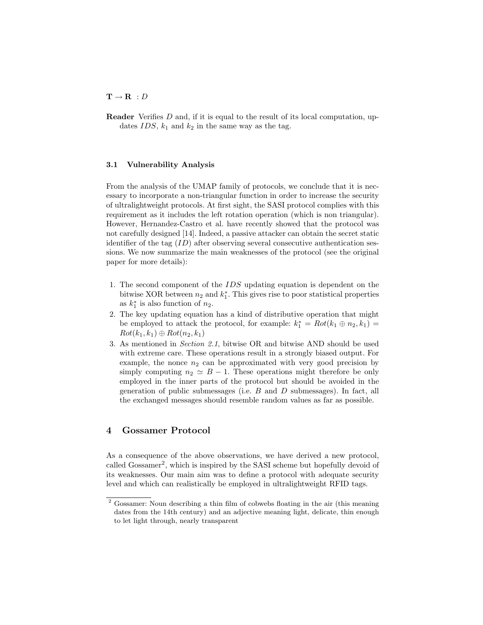$\mathbf{T} \to \mathbf{R}$ : D

**Reader** Verifies  $D$  and, if it is equal to the result of its local computation, updates  $IDS, k_1$  and  $k_2$  in the same way as the tag.

#### 3.1 Vulnerability Analysis

From the analysis of the UMAP family of protocols, we conclude that it is necessary to incorporate a non-triangular function in order to increase the security of ultralightweight protocols. At first sight, the SASI protocol complies with this requirement as it includes the left rotation operation (which is non triangular). However, Hernandez-Castro et al. have recently showed that the protocol was not carefully designed [14]. Indeed, a passive attacker can obtain the secret static identifier of the tag  $(ID)$  after observing several consecutive authentication sessions. We now summarize the main weaknesses of the protocol (see the original paper for more details):

- 1. The second component of the IDS updating equation is dependent on the bitwise XOR between  $n_2$  and  $k_1^*$ . This gives rise to poor statistical properties as  $k_1^*$  is also function of  $n_2$ .
- 2. The key updating equation has a kind of distributive operation that might be employed to attack the protocol, for example:  $k_1^* = Rot(k_1 \oplus n_2, k_1)$  $Rot(k_1, k_1) \oplus Rot(n_2, k_1)$
- 3. As mentioned in Section 2.1, bitwise OR and bitwise AND should be used with extreme care. These operations result in a strongly biased output. For example, the nonce  $n_2$  can be approximated with very good precision by simply computing  $n_2 \simeq B - 1$ . These operations might therefore be only employed in the inner parts of the protocol but should be avoided in the generation of public submessages (i.e.  $B$  and  $D$  submessages). In fact, all the exchanged messages should resemble random values as far as possible.

# 4 Gossamer Protocol

As a consequence of the above observations, we have derived a new protocol, called Gossamer<sup>2</sup>, which is inspired by the SASI scheme but hopefully devoid of its weaknesses. Our main aim was to define a protocol with adequate security level and which can realistically be employed in ultralightweight RFID tags.

<sup>2</sup> Gossamer: Noun describing a thin film of cobwebs floating in the air (this meaning dates from the 14th century) and an adjective meaning light, delicate, thin enough to let light through, nearly transparent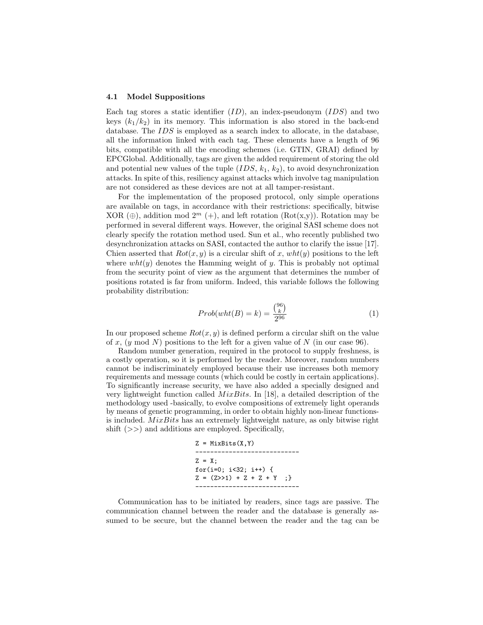#### 4.1 Model Suppositions

Each tag stores a static identifier  $(ID)$ , an index-pseudonym  $(IDS)$  and two keys  $(k_1/k_2)$  in its memory. This information is also stored in the back-end database. The IDS is employed as a search index to allocate, in the database, all the information linked with each tag. These elements have a length of 96 bits, compatible with all the encoding schemes (i.e. GTIN, GRAI) defined by EPCGlobal. Additionally, tags are given the added requirement of storing the old and potential new values of the tuple  $(IDS, k_1, k_2)$ , to avoid desynchronization attacks. In spite of this, resiliency against attacks which involve tag manipulation are not considered as these devices are not at all tamper-resistant.

For the implementation of the proposed protocol, only simple operations are available on tags, in accordance with their restrictions: specifically, bitwise XOR ( $\oplus$ ), addition mod  $2^m$  (+), and left rotation (Rot(x,y)). Rotation may be performed in several different ways. However, the original SASI scheme does not clearly specify the rotation method used. Sun et al., who recently published two desynchronization attacks on SASI, contacted the author to clarify the issue [17]. Chien asserted that  $Rot(x, y)$  is a circular shift of x, wht(y) positions to the left where  $wht(y)$  denotes the Hamming weight of y. This is probably not optimal from the security point of view as the argument that determines the number of positions rotated is far from uniform. Indeed, this variable follows the following probability distribution:

$$
Prob(wht(B) = k) = \frac{\binom{96}{k}}{2^{96}}
$$
 (1)

96

In our proposed scheme  $Rot(x, y)$  is defined perform a circular shift on the value of x,  $(y \mod N)$  positions to the left for a given value of N (in our case 96).

Random number generation, required in the protocol to supply freshness, is a costly operation, so it is performed by the reader. Moreover, random numbers cannot be indiscriminately employed because their use increases both memory requirements and message counts (which could be costly in certain applications). To significantly increase security, we have also added a specially designed and very lightweight function called  $MixBits$ . In [18], a detailed description of the methodology used -basically, to evolve compositions of extremely light operands by means of genetic programming, in order to obtain highly non-linear functionsis included.  $MixBits$  has an extremely lightweight nature, as only bitwise right shift (>>) and additions are employed. Specifically,

> $Z =$  MixBits $(X, Y)$ ----------------------------  $Z = X$ ; for(i=0; i<32; i++) {  $Z = (Z>>1) + Z + Z + Y$ ; ----------------------------

Communication has to be initiated by readers, since tags are passive. The communication channel between the reader and the database is generally assumed to be secure, but the channel between the reader and the tag can be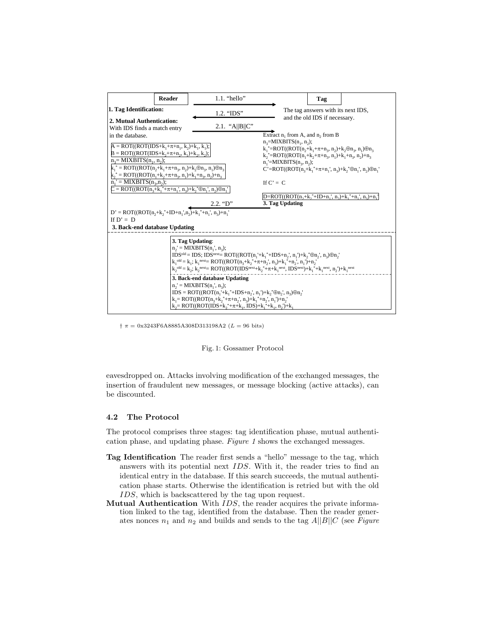|                                                                                                                                                                                                                                                                                                                                                                                                                                                                                                                                                                                                                                                                        | Reader                                                                                                                                                                                                                                                                                                                                                                                                                                                                                                                                                                                                                                                                                                                                                                                | $1.1$ . "hello"    |                                                                                                                                                                                                                                                                                                                                                                                                                                                                                                                                  | Tag                                |  |  |
|------------------------------------------------------------------------------------------------------------------------------------------------------------------------------------------------------------------------------------------------------------------------------------------------------------------------------------------------------------------------------------------------------------------------------------------------------------------------------------------------------------------------------------------------------------------------------------------------------------------------------------------------------------------------|---------------------------------------------------------------------------------------------------------------------------------------------------------------------------------------------------------------------------------------------------------------------------------------------------------------------------------------------------------------------------------------------------------------------------------------------------------------------------------------------------------------------------------------------------------------------------------------------------------------------------------------------------------------------------------------------------------------------------------------------------------------------------------------|--------------------|----------------------------------------------------------------------------------------------------------------------------------------------------------------------------------------------------------------------------------------------------------------------------------------------------------------------------------------------------------------------------------------------------------------------------------------------------------------------------------------------------------------------------------|------------------------------------|--|--|
| 1. Tag Identification:                                                                                                                                                                                                                                                                                                                                                                                                                                                                                                                                                                                                                                                 |                                                                                                                                                                                                                                                                                                                                                                                                                                                                                                                                                                                                                                                                                                                                                                                       | 1.2. "IDS"         |                                                                                                                                                                                                                                                                                                                                                                                                                                                                                                                                  | The tag answers with its next IDS, |  |  |
| 2. Mutual Authentication:<br>With IDS finds a match entry                                                                                                                                                                                                                                                                                                                                                                                                                                                                                                                                                                                                              |                                                                                                                                                                                                                                                                                                                                                                                                                                                                                                                                                                                                                                                                                                                                                                                       | 2.1. " $A  B  C$ " | and the old IDS if necessary.                                                                                                                                                                                                                                                                                                                                                                                                                                                                                                    |                                    |  |  |
| in the database.<br>$A = ROT((ROT(IDS+k_1+\pi+n_1, k_2)+k_1, k_1);$<br>$B = ROT((ROT(IDS+k, +\pi+n_2, k_1)+k_2, k_2);$<br>$n_2$ = MIXBITS $(n_1, n_2)$ ;<br>$k_1^* = \text{ROT}((\text{ROT}(n_2+k_1+\pi+n_3, n_2)+k_2\oplus n_3, n_1)\oplus n_3)$<br>$k_0^* =$ ROT((ROT(n <sub>1</sub> +k <sub>2</sub> + $\pi$ +n <sub>3</sub> , n <sub>1</sub> )+k <sub>1</sub> +n <sub>3</sub> , n <sub>2</sub> )+n <sub>3</sub><br>$n_1' = MIXBITS(n_2,n_2);$<br>$C = \text{ROT}((\text{ROT}(n_2+k_1^*+\pi+n_1^*, n_2)+k_2^*\oplus n_1^*, n_2)\oplus n_1^*$<br>$2.2.$ "D"<br>$D' = ROT((ROT(n,+k, "+ID+n, ',n,)+k, "+n, ',n,)+n, '$<br>If $D' = D$<br>3. Back-end database Updating |                                                                                                                                                                                                                                                                                                                                                                                                                                                                                                                                                                                                                                                                                                                                                                                       |                    | Extract $n_1$ from A, and $n_2$ from B<br>$n_{2}$ =MIXBITS $(n_{1}, n_{2})$ ;<br>$k_1^*$ =ROT((ROT(n <sub>2</sub> +k <sub>1</sub> + $\pi$ +n <sub>3</sub> , n <sub>2</sub> )+k <sub>2</sub> $\oplus$ n <sub>3</sub> , n <sub>1</sub> ) $\oplus$ n <sub>3</sub><br>$k,^*$ =ROT((ROT( $n_1+k,+\pi+n_3$ , $n_1$ )+ $k_1+n_3$ , $n_2$ )+ $n_3$<br>$n_1$ '=MIXBITS $(n_3, n_2)$ ;<br>$C' = ROT((ROT(n2+k1*+π+n1, n2)+k2* + m1, n2) + m1$<br>If $C' = C$<br>$D=ROT((ROT(n,+k, ^*+ID+n_1, n_2)+k, ^*+n_1, n_2)+n_1)$<br>3. Tag Updating |                                    |  |  |
|                                                                                                                                                                                                                                                                                                                                                                                                                                                                                                                                                                                                                                                                        | 3. Tag Updating:<br>$n_2 = MIXBITS(n_1, n_2);$<br>$IDS^{old} =IDS$ ; $IDS^{next} = NOT((ROT(n, '+k, '+IDS+n, ', n, ')+k, '@n, ', n, )@n, '$<br>$k_1^{old} = k_1$ ; $k_1^{next} = NOT((ROT(n_3+k_2^*+\pi+n_2^*, n_3)+k_1^*+n_2^*, n_1^*)+n_2^*$<br>$k_2$ <sup>old</sup> = $k_2$ ; $k_2$ <sup>next</sup> = ROT((ROT(IDS <sup>next</sup> + $k_2$ <sup>*</sup> + $\pi$ + $k_1$ <sup>next</sup> , IDS <sup>next</sup> )+ $k_1$ <sup>*</sup> + $k_1$ <sup>next</sup> , $n_2$ <sup>*</sup> )+ $k_1$ <sup>next</sup><br>3. Back-end database Updating<br>$n_2$ ' = MIXBITS $(n_1, n_2)$ ;<br>$IDS = ROT((ROT(n,'+k,'+IDS+n,'n,')+k,'@n,'n')\oplus n,'$<br>$k_1 = ROT((ROT(n_2+k_2^*+\pi+n_2^*, n_2)+k_1^*+n_2^*, n_1^*)+n_2^*$<br>$k_2 = ROT((ROT(IDS+k, *+\pi+k_1, IDS)+k_1*+k_1, n_2')+k_1$ |                    |                                                                                                                                                                                                                                                                                                                                                                                                                                                                                                                                  |                                    |  |  |

†  $\pi = 0x3243F6A8885A308D313198A2$  ( $L = 96$  bits)

Fig. 1: Gossamer Protocol

eavesdropped on. Attacks involving modification of the exchanged messages, the insertion of fraudulent new messages, or message blocking (active attacks), can be discounted.

### 4.2 The Protocol

The protocol comprises three stages: tag identification phase, mutual authentication phase, and updating phase. Figure 1 shows the exchanged messages.

- Tag Identification The reader first sends a "hello" message to the tag, which answers with its potential next IDS. With it, the reader tries to find an identical entry in the database. If this search succeeds, the mutual authentication phase starts. Otherwise the identification is retried but with the old IDS, which is backscattered by the tag upon request.
- Mutual Authentication With IDS, the reader acquires the private information linked to the tag, identified from the database. Then the reader generates nonces  $n_1$  and  $n_2$  and builds and sends to the tag  $A||B||C$  (see Figure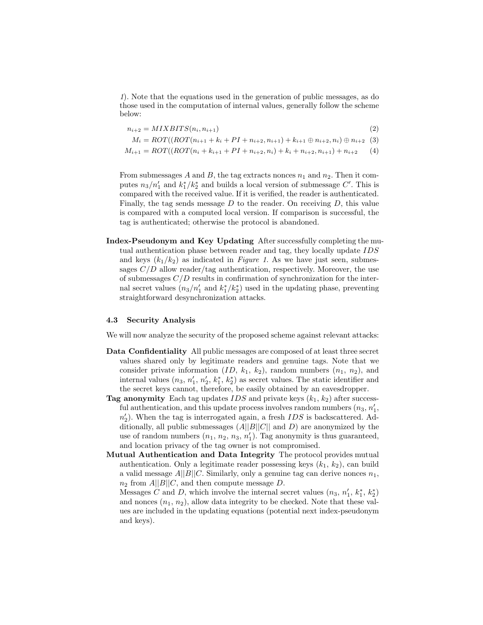1). Note that the equations used in the generation of public messages, as do those used in the computation of internal values, generally follow the scheme below:

 $n_{i+2} = MIXBITS(n_i, n_{i+1})$  (2)

 $M_i = ROT((ROT(n_{i+1} + k_i + PI + n_{i+2}, n_{i+1}) + k_{i+1} \oplus n_{i+2}, n_i) \oplus n_{i+2}$  (3)

 $M_{i+1} = ROT((ROT(n_i + k_{i+1} + PI + n_{i+2}, n_i) + k_i + n_{i+2}, n_{i+1}) + n_{i+2}$  (4)

From submessages A and B, the tag extracts nonces  $n_1$  and  $n_2$ . Then it computes  $n_3/n'_1$  and  $k_1^*/k_2^*$  and builds a local version of submessage C'. This is compared with the received value. If it is verified, the reader is authenticated. Finally, the tag sends message  $D$  to the reader. On receiving  $D$ , this value is compared with a computed local version. If comparison is successful, the tag is authenticated; otherwise the protocol is abandoned.

Index-Pseudonym and Key Updating After successfully completing the mutual authentication phase between reader and tag, they locally update IDS and keys  $(k_1/k_2)$  as indicated in Figure 1. As we have just seen, submessages  $C/D$  allow reader/tag authentication, respectively. Moreover, the use of submessages  $C/D$  results in confirmation of synchronization for the internal secret values  $(n_3/n'_1 \text{ and } k_1^*/k_2^*)$  used in the updating phase, preventing straightforward desynchronization attacks.

#### 4.3 Security Analysis

We will now analyze the security of the proposed scheme against relevant attacks:

- Data Confidentiality All public messages are composed of at least three secret values shared only by legitimate readers and genuine tags. Note that we consider private information  $(ID, k_1, k_2)$ , random numbers  $(n_1, n_2)$ , and internal values  $(n_3, n'_1, n'_2, k_1^*, k_2^*)$  as secret values. The static identifier and the secret keys cannot, therefore, be easily obtained by an eavesdropper.
- **Tag anonymity** Each tag updates *IDS* and private keys  $(k_1, k_2)$  after successful authentication, and this update process involves random numbers  $(n_3, n'_1)$ ,  $n_2'$ ). When the tag is interrogated again, a fresh  $IDS$  is backscattered. Additionally, all public submessages  $(A||B||C||$  and D) are anonymized by the use of random numbers  $(n_1, n_2, n_3, n'_1)$ . Tag anonymity is thus guaranteed, and location privacy of the tag owner is not compromised.
- Mutual Authentication and Data Integrity The protocol provides mutual authentication. Only a legitimate reader possessing keys  $(k_1, k_2)$ , can build a valid message  $A||B||C$ . Similarly, only a genuine tag can derive nonces  $n_1$ ,  $n_2$  from  $A||B||C$ , and then compute message D.

Messages C and D, which involve the internal secret values  $(n_3, n'_1, k_1^*, k_2^*)$ and nonces  $(n_1, n_2)$ , allow data integrity to be checked. Note that these values are included in the updating equations (potential next index-pseudonym and keys).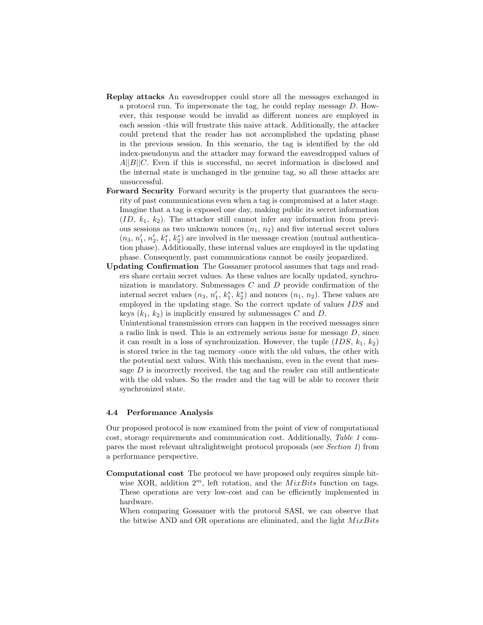- Replay attacks An eavesdropper could store all the messages exchanged in a protocol run. To impersonate the tag, he could replay message D. However, this response would be invalid as different nonces are employed in each session -this will frustrate this naive attack. Additionally, the attacker could pretend that the reader has not accomplished the updating phase in the previous session. In this scenario, the tag is identified by the old index-pseudonym and the attacker may forward the eavesdropped values of  $A||B||C$ . Even if this is successful, no secret information is disclosed and the internal state is unchanged in the genuine tag, so all these attacks are unsuccessful.
- Forward Security Forward security is the property that guarantees the security of past communications even when a tag is compromised at a later stage. Imagine that a tag is exposed one day, making public its secret information  $(ID, k<sub>1</sub>, k<sub>2</sub>)$ . The attacker still cannot infer any information from previous sessions as two unknown nonces  $(n_1, n_2)$  and five internal secret values  $(n_3, n'_1, n'_2, k_1^*, k_2^*)$  are involved in the message creation (mutual authentication phase). Additionally, these internal values are employed in the updating phase. Consequently, past communications cannot be easily jeopardized.
- Updating Confirmation The Gossamer protocol assumes that tags and readers share certain secret values. As these values are locally updated, synchronization is mandatory. Submessages  $C$  and  $D$  provide confirmation of the internal secret values  $(n_3, n'_1, k_1^*, k_2^*)$  and nonces  $(n_1, n_2)$ . These values are employed in the updating stage. So the correct update of values IDS and keys  $(k_1, k_2)$  is implicitly ensured by submessages C and D.

Unintentional transmission errors can happen in the received messages since a radio link is used. This is an extremely serious issue for message  $D$ , since it can result in a loss of synchronization. However, the tuple  $(IDS, k<sub>1</sub>, k<sub>2</sub>)$ is stored twice in the tag memory -once with the old values, the other with the potential next values. With this mechanism, even in the event that message  $D$  is incorrectly received, the tag and the reader can still authenticate with the old values. So the reader and the tag will be able to recover their synchronized state.

#### 4.4 Performance Analysis

Our proposed protocol is now examined from the point of view of computational cost, storage requirements and communication cost. Additionally, Table 1 compares the most relevant ultralightweight protocol proposals (see Section 1) from a performance perspective.

Computational cost The protocol we have proposed only requires simple bitwise XOR, addition  $2^m$ , left rotation, and the  $MixBits$  function on tags. These operations are very low-cost and can be efficiently implemented in hardware.

When comparing Gossamer with the protocol SASI, we can observe that the bitwise AND and OR operations are eliminated, and the light  $MixBits$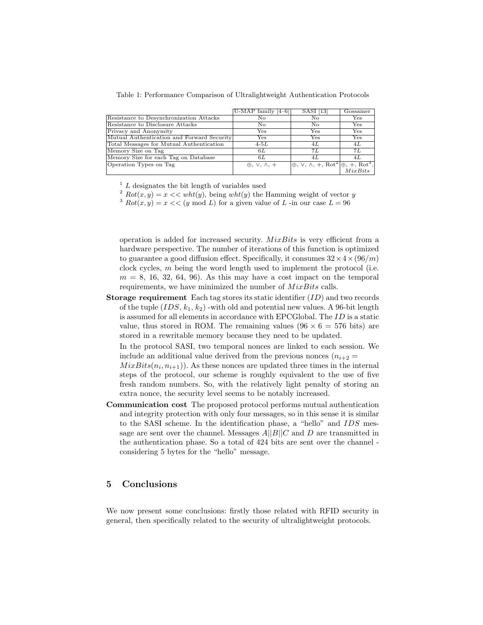Table 1: Performance Comparison of Ultralightweight Authentication Protocols

|                                            | U-MAP family $[4-6]$               | $SASI$ [13]                                                                                        | Gossamer                  |
|--------------------------------------------|------------------------------------|----------------------------------------------------------------------------------------------------|---------------------------|
| Resistance to Desynchronization Attacks    | No                                 | No                                                                                                 | $_{\rm Yes}$              |
| Resistance to Disclosure Attacks           | No                                 | No                                                                                                 | $_{\rm Yes}$              |
| Privacy and Anonymity                      | Yes                                | Yes                                                                                                | $_{\rm Yes}$              |
| Mutual Authentication and Forward Security | $_{\rm Yes}$                       | Yes                                                                                                | $\overline{\mathrm{Yes}}$ |
| Total Messages for Mutual Authentication   | $4-5L$                             | 4L                                                                                                 | 4L                        |
| Memory Size on Tag                         | 6L                                 | 7 L                                                                                                | 7 L                       |
| Memory Size for each Tag on Database       | 6L                                 | 4L                                                                                                 | 4L                        |
| Operation Types on Tag                     | $\oplus$ , $\vee$ , $\wedge$ , $+$ | $\left[\oplus, \vee, \wedge, +, \text{Rot}^2 \middle  \oplus, +, \text{Rot}^3, \right]$<br>MixBits |                           |
|                                            |                                    |                                                                                                    |                           |

 $1/L$  designates the bit length of variables used

<sup>2</sup> Rot $(x, y) = x \ll \omega ht(y)$ , being  $wht(y)$  the Hamming weight of vector y

<sup>3</sup>  $Rot(x, y) = x \ll (y \mod L)$  for a given value of L -in our case  $L = 96$ 

operation is added for increased security.  $MixBits$  is very efficient from a hardware perspective. The number of iterations of this function is optimized to guarantee a good diffusion effect. Specifically, it consumes  $32 \times 4 \times (96/m)$ clock cycles, m being the word length used to implement the protocol (i.e.  $m = 8, 16, 32, 64, 96$ . As this may have a cost impact on the temporal requirements, we have minimized the number of  $MixBits$  calls.

**Storage requirement** Each tag stores its static identifier  $(ID)$  and two records of the tuple  $(IDS, k_1, k_2)$  -with old and potential new values. A 96-bit length is assumed for all elements in accordance with EPCGlobal. The ID is a static value, thus stored in ROM. The remaining values  $(96 \times 6 = 576)$  bits) are stored in a rewritable memory because they need to be updated.

In the protocol SASI, two temporal nonces are linked to each session. We include an additional value derived from the previous nonces  $(n_{i+2} =$ 

 $MixBits(n_i, n_{i+1})$ . As these nonces are updated three times in the internal steps of the protocol, our scheme is roughly equivalent to the use of five fresh random numbers. So, with the relatively light penalty of storing an extra nonce, the security level seems to be notably increased.

Communication cost The proposed protocol performs mutual authentication and integrity protection with only four messages, so in this sense it is similar to the SASI scheme. In the identification phase, a "hello" and IDS message are sent over the channel. Messages  $A||B||C$  and D are transmitted in the authentication phase. So a total of 424 bits are sent over the channel considering 5 bytes for the "hello" message.

# 5 Conclusions

We now present some conclusions: firstly those related with RFID security in general, then specifically related to the security of ultralightweight protocols.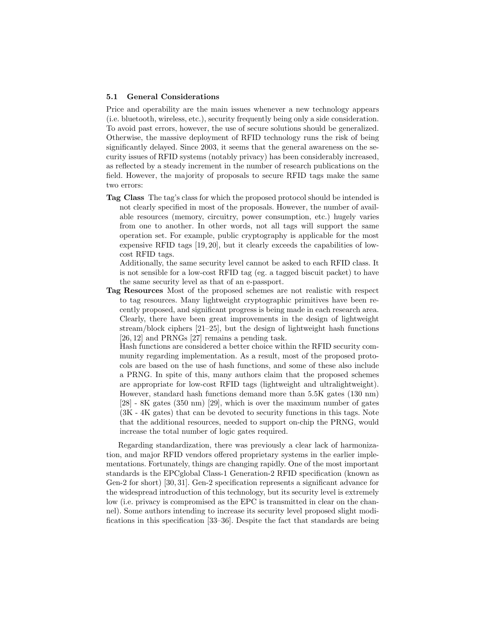#### 5.1 General Considerations

Price and operability are the main issues whenever a new technology appears (i.e. bluetooth, wireless, etc.), security frequently being only a side consideration. To avoid past errors, however, the use of secure solutions should be generalized. Otherwise, the massive deployment of RFID technology runs the risk of being significantly delayed. Since 2003, it seems that the general awareness on the security issues of RFID systems (notably privacy) has been considerably increased, as reflected by a steady increment in the number of research publications on the field. However, the majority of proposals to secure RFID tags make the same two errors:

Tag Class The tag's class for which the proposed protocol should be intended is not clearly specified in most of the proposals. However, the number of available resources (memory, circuitry, power consumption, etc.) hugely varies from one to another. In other words, not all tags will support the same operation set. For example, public cryptography is applicable for the most expensive RFID tags [19, 20], but it clearly exceeds the capabilities of lowcost RFID tags.

Additionally, the same security level cannot be asked to each RFID class. It is not sensible for a low-cost RFID tag (eg. a tagged biscuit packet) to have the same security level as that of an e-passport.

Tag Resources Most of the proposed schemes are not realistic with respect to tag resources. Many lightweight cryptographic primitives have been recently proposed, and significant progress is being made in each research area. Clearly, there have been great improvements in the design of lightweight stream/block ciphers [21–25], but the design of lightweight hash functions [26, 12] and PRNGs [27] remains a pending task.

Hash functions are considered a better choice within the RFID security community regarding implementation. As a result, most of the proposed protocols are based on the use of hash functions, and some of these also include a PRNG. In spite of this, many authors claim that the proposed schemes are appropriate for low-cost RFID tags (lightweight and ultralightweight). However, standard hash functions demand more than 5.5K gates (130 nm) [28] - 8K gates (350 nm) [29], which is over the maximum number of gates (3K - 4K gates) that can be devoted to security functions in this tags. Note that the additional resources, needed to support on-chip the PRNG, would increase the total number of logic gates required.

Regarding standardization, there was previously a clear lack of harmonization, and major RFID vendors offered proprietary systems in the earlier implementations. Fortunately, things are changing rapidly. One of the most important standards is the EPCglobal Class-1 Generation-2 RFID specification (known as Gen-2 for short) [30, 31]. Gen-2 specification represents a significant advance for the widespread introduction of this technology, but its security level is extremely low (i.e. privacy is compromised as the EPC is transmitted in clear on the channel). Some authors intending to increase its security level proposed slight modifications in this specification [33–36]. Despite the fact that standards are being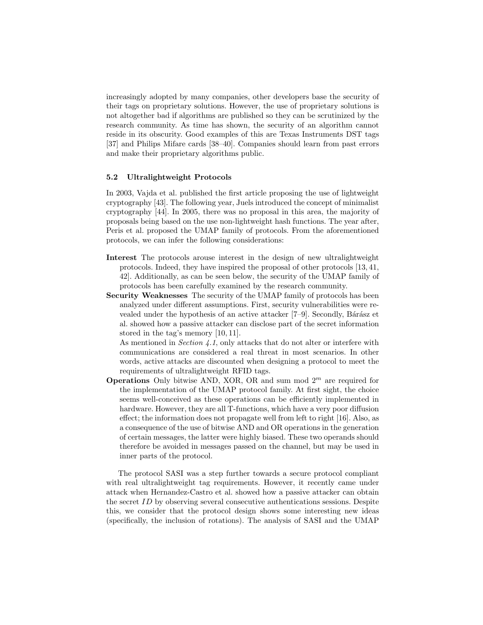increasingly adopted by many companies, other developers base the security of their tags on proprietary solutions. However, the use of proprietary solutions is not altogether bad if algorithms are published so they can be scrutinized by the research community. As time has shown, the security of an algorithm cannot reside in its obscurity. Good examples of this are Texas Instruments DST tags [37] and Philips Mifare cards [38–40]. Companies should learn from past errors and make their proprietary algorithms public.

# 5.2 Ultralightweight Protocols

In 2003, Vajda et al. published the first article proposing the use of lightweight cryptography [43]. The following year, Juels introduced the concept of minimalist cryptography [44]. In 2005, there was no proposal in this area, the majority of proposals being based on the use non-lightweight hash functions. The year after, Peris et al. proposed the UMAP family of protocols. From the aforementioned protocols, we can infer the following considerations:

- Interest The protocols arouse interest in the design of new ultralightweight protocols. Indeed, they have inspired the proposal of other protocols [13, 41, 42]. Additionally, as can be seen below, the security of the UMAP family of protocols has been carefully examined by the research community.
- Security Weaknesses The security of the UMAP family of protocols has been analyzed under different assumptions. First, security vulnerabilities were revealed under the hypothesis of an active attacker  $[7-9]$ . Secondly, Bárász et al. showed how a passive attacker can disclose part of the secret information stored in the tag's memory [10, 11].

As mentioned in *Section 4.1*, only attacks that do not alter or interfere with communications are considered a real threat in most scenarios. In other words, active attacks are discounted when designing a protocol to meet the requirements of ultralightweight RFID tags.

**Operations** Only bitwise AND, XOR, OR and sum mod  $2<sup>m</sup>$  are required for the implementation of the UMAP protocol family. At first sight, the choice seems well-conceived as these operations can be efficiently implemented in hardware. However, they are all T-functions, which have a very poor diffusion effect; the information does not propagate well from left to right [16]. Also, as a consequence of the use of bitwise AND and OR operations in the generation of certain messages, the latter were highly biased. These two operands should therefore be avoided in messages passed on the channel, but may be used in inner parts of the protocol.

The protocol SASI was a step further towards a secure protocol compliant with real ultralightweight tag requirements. However, it recently came under attack when Hernandez-Castro et al. showed how a passive attacker can obtain the secret ID by observing several consecutive authentications sessions. Despite this, we consider that the protocol design shows some interesting new ideas (specifically, the inclusion of rotations). The analysis of SASI and the UMAP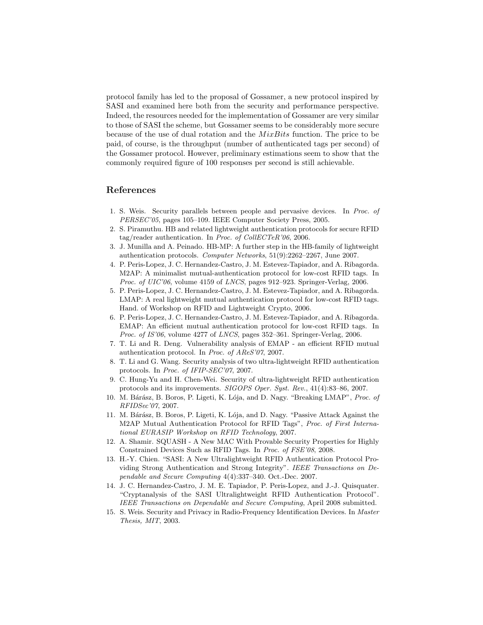protocol family has led to the proposal of Gossamer, a new protocol inspired by SASI and examined here both from the security and performance perspective. Indeed, the resources needed for the implementation of Gossamer are very similar to those of SASI the scheme, but Gossamer seems to be considerably more secure because of the use of dual rotation and the  $MixBits$  function. The price to be paid, of course, is the throughput (number of authenticated tags per second) of the Gossamer protocol. However, preliminary estimations seem to show that the commonly required figure of 100 responses per second is still achievable.

# References

- 1. S. Weis. Security parallels between people and pervasive devices. In Proc. of PERSEC'05, pages 105–109. IEEE Computer Society Press, 2005.
- 2. S. Piramuthu. HB and related lightweight authentication protocols for secure RFID tag/reader authentication. In Proc. of CollECTeR'06, 2006.
- 3. J. Munilla and A. Peinado. HB-MP: A further step in the HB-family of lightweight authentication protocols. Computer Networks, 51(9):2262–2267, June 2007.
- 4. P. Peris-Lopez, J. C. Hernandez-Castro, J. M. Estevez-Tapiador, and A. Ribagorda. M2AP: A minimalist mutual-authentication protocol for low-cost RFID tags. In Proc. of UIC'06, volume 4159 of LNCS, pages 912-923. Springer-Verlag, 2006.
- 5. P. Peris-Lopez, J. C. Hernandez-Castro, J. M. Estevez-Tapiador, and A. Ribagorda. LMAP: A real lightweight mutual authentication protocol for low-cost RFID tags. Hand. of Workshop on RFID and Lightweight Crypto, 2006.
- 6. P. Peris-Lopez, J. C. Hernandez-Castro, J. M. Estevez-Tapiador, and A. Ribagorda. EMAP: An efficient mutual authentication protocol for low-cost RFID tags. In Proc. of IS'06, volume 4277 of LNCS, pages 352-361. Springer-Verlag, 2006.
- 7. T. Li and R. Deng. Vulnerability analysis of EMAP an efficient RFID mutual authentication protocol. In Proc. of AReS'07, 2007.
- 8. T. Li and G. Wang. Security analysis of two ultra-lightweight RFID authentication protocols. In Proc. of IFIP-SEC'07, 2007.
- 9. C. Hung-Yu and H. Chen-Wei. Security of ultra-lightweight RFID authentication protocols and its improvements. SIGOPS Oper. Syst. Rev., 41(4):83–86, 2007.
- 10. M. Bárász, B. Boros, P. Ligeti, K. Lója, and D. Nagy. "Breaking LMAP", *Proc. of* RFIDSec'07, 2007.
- 11. M. Bárász, B. Boros, P. Ligeti, K. Lója, and D. Nagy. "Passive Attack Against the M2AP Mutual Authentication Protocol for RFID Tags", Proc. of First International EURASIP Workshop on RFID Technology, 2007.
- 12. A. Shamir. SQUASH A New MAC With Provable Security Properties for Highly Constrained Devices Such as RFID Tags. In Proc. of FSE'08, 2008.
- 13. H.-Y. Chien. "SASI: A New Ultralightweight RFID Authentication Protocol Providing Strong Authentication and Strong Integrity". IEEE Transactions on Dependable and Secure Computing 4(4):337–340. Oct.-Dec. 2007.
- 14. J. C. Hernandez-Castro, J. M. E. Tapiador, P. Peris-Lopez, and J.-J. Quisquater. "Cryptanalysis of the SASI Ultralightweight RFID Authentication Protocol". IEEE Transactions on Dependable and Secure Computing, April 2008 submitted.
- 15. S. Weis. Security and Privacy in Radio-Frequency Identification Devices. In Master Thesis, MIT, 2003.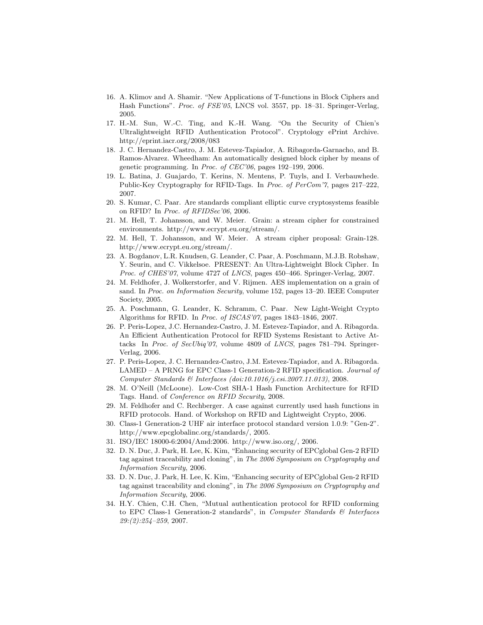- 16. A. Klimov and A. Shamir. "New Applications of T-functions in Block Ciphers and Hash Functions". Proc. of FSE'05, LNCS vol. 3557, pp. 18–31. Springer-Verlag, 2005.
- 17. H.-M. Sun, W.-C. Ting, and K.-H. Wang. "On the Security of Chien's Ultralightweight RFID Authentication Protocol". Cryptology ePrint Archive. http://eprint.iacr.org/2008/083
- 18. J. C. Hernandez-Castro, J. M. Estevez-Tapiador, A. Ribagorda-Garnacho, and B. Ramos-Alvarez. Wheedham: An automatically designed block cipher by means of genetic programming. In Proc. of CEC'06, pages 192–199, 2006.
- 19. L. Batina, J. Guajardo, T. Kerins, N. Mentens, P. Tuyls, and I. Verbauwhede. Public-Key Cryptography for RFID-Tags. In Proc. of PerCom'7, pages 217–222, 2007.
- 20. S. Kumar, C. Paar. Are standards compliant elliptic curve cryptosystems feasible on RFID? In Proc. of RFIDSec'06, 2006.
- 21. M. Hell, T. Johansson, and W. Meier. Grain: a stream cipher for constrained environments. http://www.ecrypt.eu.org/stream/.
- 22. M. Hell, T. Johansson, and W. Meier. A stream cipher proposal: Grain-128. http://www.ecrypt.eu.org/stream/.
- 23. A. Bogdanov, L.R. Knudsen, G. Leander, C. Paar, A. Poschmann, M.J.B. Robshaw, Y. Seurin, and C. Vikkelsoe. PRESENT: An Ultra-Lightweight Block Cipher. In Proc. of CHES'07, volume 4727 of LNCS, pages 450-466. Springer-Verlag, 2007.
- 24. M. Feldhofer, J. Wolkerstorfer, and V. Rijmen. AES implementation on a grain of sand. In Proc. on Information Security, volume 152, pages 13–20. IEEE Computer Society, 2005.
- 25. A. Poschmann, G. Leander, K. Schramm, C. Paar. New Light-Weight Crypto Algorithms for RFID. In Proc. of ISCAS'07, pages 1843–1846, 2007.
- 26. P. Peris-Lopez, J.C. Hernandez-Castro, J. M. Estevez-Tapiador, and A. Ribagorda. An Efficient Authentication Protocol for RFID Systems Resistant to Active Attacks In Proc. of SecUbiq'07, volume 4809 of LNCS, pages 781–794. Springer-Verlag, 2006.
- 27. P. Peris-Lopez, J. C. Hernandez-Castro, J.M. Estevez-Tapiador, and A. Ribagorda. LAMED – A PRNG for EPC Class-1 Generation-2 RFID specification. Journal of Computer Standards & Interfaces (doi:10.1016/j.csi.2007.11.013), 2008.
- 28. M. O'Neill (McLoone). Low-Cost SHA-1 Hash Function Architecture for RFID Tags. Hand. of Conference on RFID Security, 2008.
- 29. M. Feldhofer and C. Rechberger. A case against currently used hash functions in RFID protocols. Hand. of Workshop on RFID and Lightweight Crypto, 2006.
- 30. Class-1 Generation-2 UHF air interface protocol standard version 1.0.9: "Gen-2". http://www.epcglobalinc.org/standards/, 2005.
- 31. ISO/IEC 18000-6:2004/Amd:2006. http://www.iso.org/, 2006.
- 32. D. N. Duc, J. Park, H. Lee, K. Kim, "Enhancing security of EPCglobal Gen-2 RFID tag against traceability and cloning", in The 2006 Symposium on Cryptography and Information Security, 2006.
- 33. D. N. Duc, J. Park, H. Lee, K. Kim, "Enhancing security of EPCglobal Gen-2 RFID tag against traceability and cloning", in The 2006 Symposium on Cryptography and Information Security, 2006.
- 34. H.Y. Chien, C.H. Chen, "Mutual authentication protocol for RFID conforming to EPC Class-1 Generation-2 standards", in Computer Standards  $\mathcal{B}$  Interfaces 29:(2):254–259, 2007.